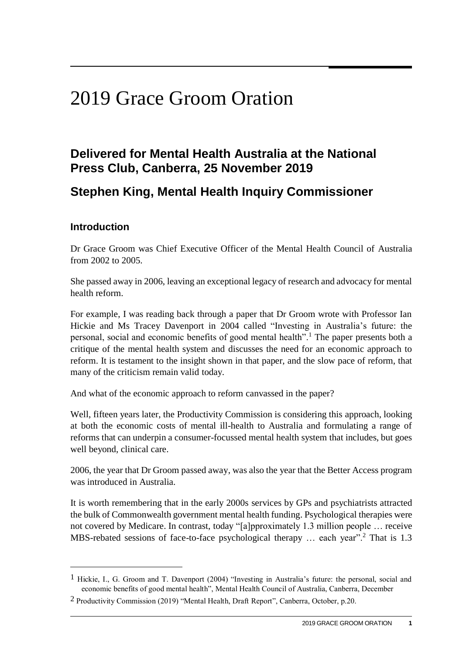# 2019 Grace Groom Oration

# **Delivered for Mental Health Australia at the National Press Club, Canberra, 25 November 2019**

## **Stephen King, Mental Health Inquiry Commissioner**

#### **Introduction**

 $\overline{a}$ 

Dr Grace Groom was Chief Executive Officer of the Mental Health Council of Australia from 2002 to 2005.

She passed away in 2006, leaving an exceptional legacy of research and advocacy for mental health reform.

For example, I was reading back through a paper that Dr Groom wrote with Professor Ian Hickie and Ms Tracey Davenport in 2004 called "Investing in Australia's future: the personal, social and economic benefits of good mental health".<sup>1</sup> The paper presents both a critique of the mental health system and discusses the need for an economic approach to reform. It is testament to the insight shown in that paper, and the slow pace of reform, that many of the criticism remain valid today.

And what of the economic approach to reform canvassed in the paper?

Well, fifteen years later, the Productivity Commission is considering this approach, looking at both the economic costs of mental ill-health to Australia and formulating a range of reforms that can underpin a consumer-focussed mental health system that includes, but goes well beyond, clinical care.

2006, the year that Dr Groom passed away, was also the year that the Better Access program was introduced in Australia.

It is worth remembering that in the early 2000s services by GPs and psychiatrists attracted the bulk of Commonwealth government mental health funding. Psychological therapies were not covered by Medicare. In contrast, today "[a]pproximately 1.3 million people … receive MBS-rebated sessions of face-to-face psychological therapy ... each year".<sup>2</sup> That is 1.3

<sup>1</sup> Hickie, I., G. Groom and T. Davenport (2004) "Investing in Australia's future: the personal, social and economic benefits of good mental health", Mental Health Council of Australia, Canberra, December

<sup>2</sup> Productivity Commission (2019) "Mental Health, Draft Report", Canberra, October, p.20.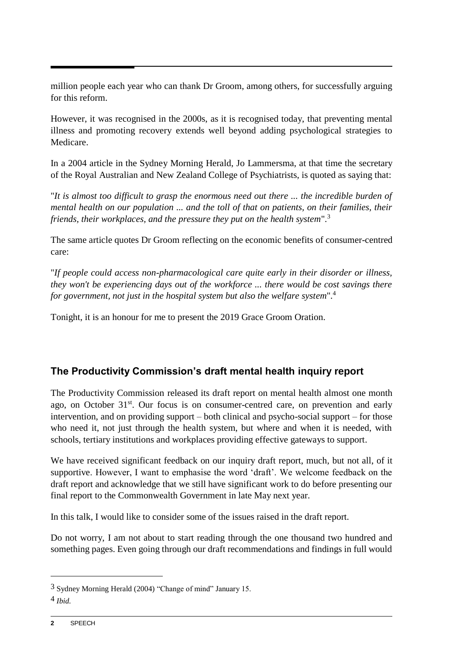million people each year who can thank Dr Groom, among others, for successfully arguing for this reform.

However, it was recognised in the 2000s, as it is recognised today, that preventing mental illness and promoting recovery extends well beyond adding psychological strategies to Medicare.

In a 2004 article in the Sydney Morning Herald, Jo Lammersma, at that time the secretary of the Royal Australian and New Zealand College of Psychiatrists, is quoted as saying that:

"*It is almost too difficult to grasp the enormous need out there ... the incredible burden of mental health on our population ... and the toll of that on patients, on their families, their friends, their workplaces, and the pressure they put on the health system*".<sup>3</sup>

The same article quotes Dr Groom reflecting on the economic benefits of consumer-centred care:

"*If people could access non-pharmacological care quite early in their disorder or illness, they won't be experiencing days out of the workforce ... there would be cost savings there for government, not just in the hospital system but also the welfare system*". 4

Tonight, it is an honour for me to present the 2019 Grace Groom Oration.

## **The Productivity Commission's draft mental health inquiry report**

The Productivity Commission released its draft report on mental health almost one month ago, on October 31<sup>st</sup>. Our focus is on consumer-centred care, on prevention and early intervention, and on providing support – both clinical and psycho-social support – for those who need it, not just through the health system, but where and when it is needed, with schools, tertiary institutions and workplaces providing effective gateways to support.

We have received significant feedback on our inquiry draft report, much, but not all, of it supportive. However, I want to emphasise the word 'draft'. We welcome feedback on the draft report and acknowledge that we still have significant work to do before presenting our final report to the Commonwealth Government in late May next year.

In this talk, I would like to consider some of the issues raised in the draft report.

Do not worry, I am not about to start reading through the one thousand two hundred and something pages. Even going through our draft recommendations and findings in full would

1

<sup>3</sup> Sydney Morning Herald (2004) "Change of mind" January 15.

<sup>4</sup> *Ibid.*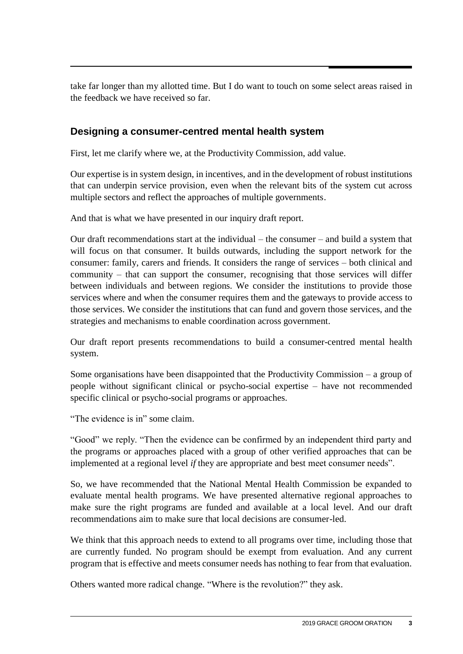take far longer than my allotted time. But I do want to touch on some select areas raised in the feedback we have received so far.

#### **Designing a consumer-centred mental health system**

First, let me clarify where we, at the Productivity Commission, add value.

Our expertise is in system design, in incentives, and in the development of robust institutions that can underpin service provision, even when the relevant bits of the system cut across multiple sectors and reflect the approaches of multiple governments.

And that is what we have presented in our inquiry draft report.

Our draft recommendations start at the individual – the consumer – and build a system that will focus on that consumer. It builds outwards, including the support network for the consumer: family, carers and friends. It considers the range of services – both clinical and community – that can support the consumer, recognising that those services will differ between individuals and between regions. We consider the institutions to provide those services where and when the consumer requires them and the gateways to provide access to those services. We consider the institutions that can fund and govern those services, and the strategies and mechanisms to enable coordination across government.

Our draft report presents recommendations to build a consumer-centred mental health system.

Some organisations have been disappointed that the Productivity Commission – a group of people without significant clinical or psycho-social expertise – have not recommended specific clinical or psycho-social programs or approaches.

"The evidence is in" some claim.

"Good" we reply. "Then the evidence can be confirmed by an independent third party and the programs or approaches placed with a group of other verified approaches that can be implemented at a regional level *if* they are appropriate and best meet consumer needs".

So, we have recommended that the National Mental Health Commission be expanded to evaluate mental health programs. We have presented alternative regional approaches to make sure the right programs are funded and available at a local level. And our draft recommendations aim to make sure that local decisions are consumer-led.

We think that this approach needs to extend to all programs over time, including those that are currently funded. No program should be exempt from evaluation. And any current program that is effective and meets consumer needs has nothing to fear from that evaluation.

Others wanted more radical change. "Where is the revolution?" they ask.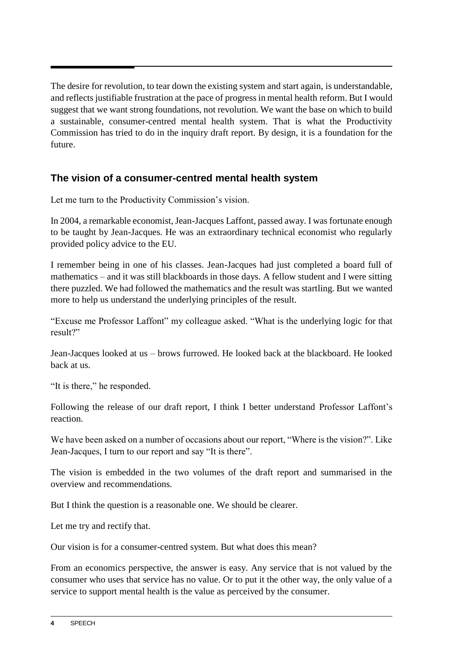The desire for revolution, to tear down the existing system and start again, is understandable, and reflects justifiable frustration at the pace of progress in mental health reform. But I would suggest that we want strong foundations, not revolution. We want the base on which to build a sustainable, consumer-centred mental health system. That is what the Productivity Commission has tried to do in the inquiry draft report. By design, it is a foundation for the future.

#### **The vision of a consumer-centred mental health system**

Let me turn to the Productivity Commission's vision.

In 2004, a remarkable economist, Jean-Jacques Laffont, passed away. I was fortunate enough to be taught by Jean-Jacques. He was an extraordinary technical economist who regularly provided policy advice to the EU.

I remember being in one of his classes. Jean-Jacques had just completed a board full of mathematics – and it was still blackboards in those days. A fellow student and I were sitting there puzzled. We had followed the mathematics and the result was startling. But we wanted more to help us understand the underlying principles of the result.

"Excuse me Professor Laffont" my colleague asked. "What is the underlying logic for that result?"

Jean-Jacques looked at us – brows furrowed. He looked back at the blackboard. He looked back at us.

"It is there," he responded.

Following the release of our draft report, I think I better understand Professor Laffont's reaction.

We have been asked on a number of occasions about our report, "Where is the vision?". Like Jean-Jacques, I turn to our report and say "It is there".

The vision is embedded in the two volumes of the draft report and summarised in the overview and recommendations.

But I think the question is a reasonable one. We should be clearer.

Let me try and rectify that.

Our vision is for a consumer-centred system. But what does this mean?

From an economics perspective, the answer is easy. Any service that is not valued by the consumer who uses that service has no value. Or to put it the other way, the only value of a service to support mental health is the value as perceived by the consumer.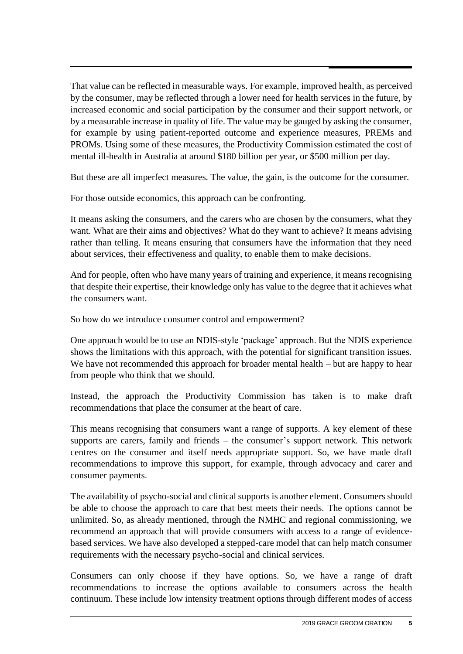That value can be reflected in measurable ways. For example, improved health, as perceived by the consumer, may be reflected through a lower need for health services in the future, by increased economic and social participation by the consumer and their support network, or by a measurable increase in quality of life. The value may be gauged by asking the consumer, for example by using patient-reported outcome and experience measures, PREMs and PROMs. Using some of these measures, the Productivity Commission estimated the cost of mental ill-health in Australia at around \$180 billion per year, or \$500 million per day.

But these are all imperfect measures. The value, the gain, is the outcome for the consumer.

For those outside economics, this approach can be confronting.

It means asking the consumers, and the carers who are chosen by the consumers, what they want. What are their aims and objectives? What do they want to achieve? It means advising rather than telling. It means ensuring that consumers have the information that they need about services, their effectiveness and quality, to enable them to make decisions.

And for people, often who have many years of training and experience, it means recognising that despite their expertise, their knowledge only has value to the degree that it achieves what the consumers want.

So how do we introduce consumer control and empowerment?

One approach would be to use an NDIS-style 'package' approach. But the NDIS experience shows the limitations with this approach, with the potential for significant transition issues. We have not recommended this approach for broader mental health – but are happy to hear from people who think that we should.

Instead, the approach the Productivity Commission has taken is to make draft recommendations that place the consumer at the heart of care.

This means recognising that consumers want a range of supports. A key element of these supports are carers, family and friends – the consumer's support network. This network centres on the consumer and itself needs appropriate support. So, we have made draft recommendations to improve this support, for example, through advocacy and carer and consumer payments.

The availability of psycho-social and clinical supports is another element. Consumers should be able to choose the approach to care that best meets their needs. The options cannot be unlimited. So, as already mentioned, through the NMHC and regional commissioning, we recommend an approach that will provide consumers with access to a range of evidencebased services. We have also developed a stepped-care model that can help match consumer requirements with the necessary psycho-social and clinical services.

Consumers can only choose if they have options. So, we have a range of draft recommendations to increase the options available to consumers across the health continuum. These include low intensity treatment options through different modes of access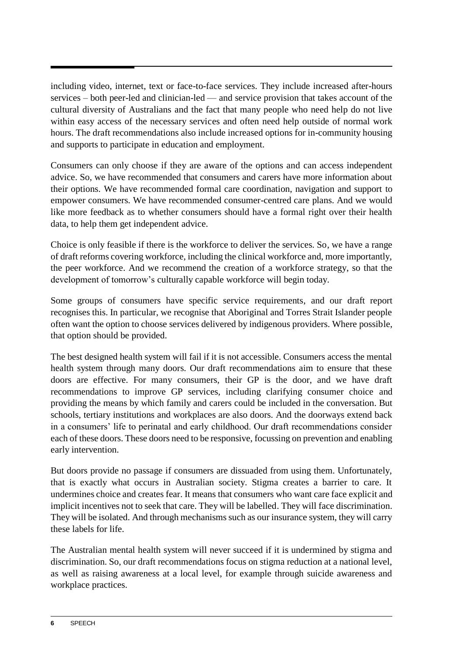including video, internet, text or face-to-face services. They include increased after-hours services – both peer-led and clinician-led — and service provision that takes account of the cultural diversity of Australians and the fact that many people who need help do not live within easy access of the necessary services and often need help outside of normal work hours. The draft recommendations also include increased options for in-community housing and supports to participate in education and employment.

Consumers can only choose if they are aware of the options and can access independent advice. So, we have recommended that consumers and carers have more information about their options. We have recommended formal care coordination, navigation and support to empower consumers. We have recommended consumer-centred care plans. And we would like more feedback as to whether consumers should have a formal right over their health data, to help them get independent advice.

Choice is only feasible if there is the workforce to deliver the services. So, we have a range of draft reforms covering workforce, including the clinical workforce and, more importantly, the peer workforce. And we recommend the creation of a workforce strategy, so that the development of tomorrow's culturally capable workforce will begin today.

Some groups of consumers have specific service requirements, and our draft report recognises this. In particular, we recognise that Aboriginal and Torres Strait Islander people often want the option to choose services delivered by indigenous providers. Where possible, that option should be provided.

The best designed health system will fail if it is not accessible. Consumers access the mental health system through many doors. Our draft recommendations aim to ensure that these doors are effective. For many consumers, their GP is the door, and we have draft recommendations to improve GP services, including clarifying consumer choice and providing the means by which family and carers could be included in the conversation. But schools, tertiary institutions and workplaces are also doors. And the doorways extend back in a consumers' life to perinatal and early childhood. Our draft recommendations consider each of these doors. These doors need to be responsive, focussing on prevention and enabling early intervention.

But doors provide no passage if consumers are dissuaded from using them. Unfortunately, that is exactly what occurs in Australian society. Stigma creates a barrier to care. It undermines choice and creates fear. It means that consumers who want care face explicit and implicit incentives not to seek that care. They will be labelled. They will face discrimination. They will be isolated. And through mechanisms such as our insurance system, they will carry these labels for life.

The Australian mental health system will never succeed if it is undermined by stigma and discrimination. So, our draft recommendations focus on stigma reduction at a national level, as well as raising awareness at a local level, for example through suicide awareness and workplace practices.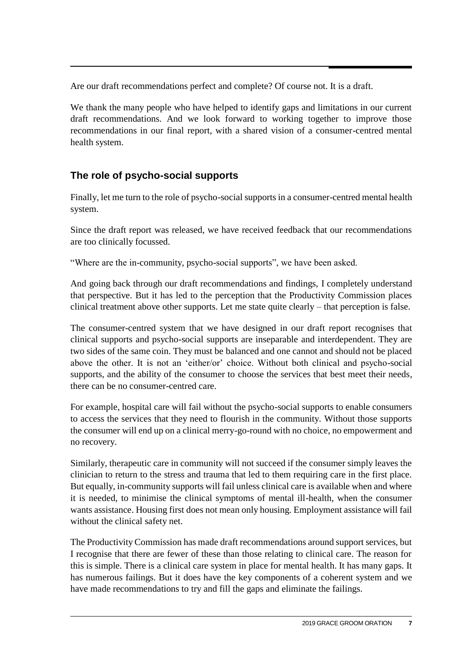Are our draft recommendations perfect and complete? Of course not. It is a draft.

We thank the many people who have helped to identify gaps and limitations in our current draft recommendations. And we look forward to working together to improve those recommendations in our final report, with a shared vision of a consumer-centred mental health system.

### **The role of psycho-social supports**

Finally, let me turn to the role of psycho-social supports in a consumer-centred mental health system.

Since the draft report was released, we have received feedback that our recommendations are too clinically focussed.

"Where are the in-community, psycho-social supports", we have been asked.

And going back through our draft recommendations and findings, I completely understand that perspective. But it has led to the perception that the Productivity Commission places clinical treatment above other supports. Let me state quite clearly – that perception is false.

The consumer-centred system that we have designed in our draft report recognises that clinical supports and psycho-social supports are inseparable and interdependent. They are two sides of the same coin. They must be balanced and one cannot and should not be placed above the other. It is not an 'either/or' choice. Without both clinical and psycho-social supports, and the ability of the consumer to choose the services that best meet their needs, there can be no consumer-centred care.

For example, hospital care will fail without the psycho-social supports to enable consumers to access the services that they need to flourish in the community. Without those supports the consumer will end up on a clinical merry-go-round with no choice, no empowerment and no recovery.

Similarly, therapeutic care in community will not succeed if the consumer simply leaves the clinician to return to the stress and trauma that led to them requiring care in the first place. But equally, in-community supports will fail unless clinical care is available when and where it is needed, to minimise the clinical symptoms of mental ill-health, when the consumer wants assistance. Housing first does not mean only housing. Employment assistance will fail without the clinical safety net.

The Productivity Commission has made draft recommendations around support services, but I recognise that there are fewer of these than those relating to clinical care. The reason for this is simple. There is a clinical care system in place for mental health. It has many gaps. It has numerous failings. But it does have the key components of a coherent system and we have made recommendations to try and fill the gaps and eliminate the failings.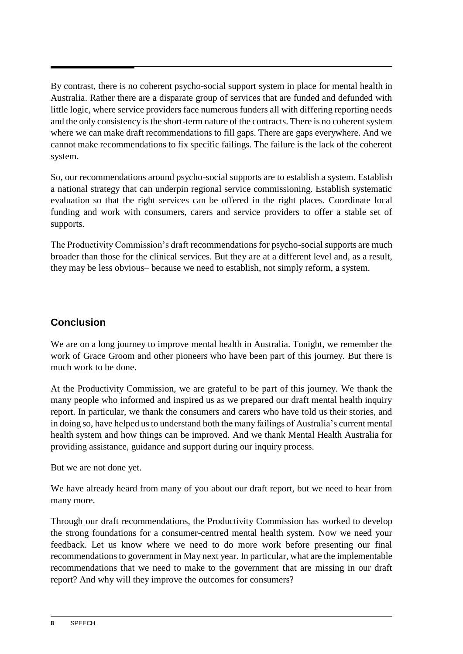By contrast, there is no coherent psycho-social support system in place for mental health in Australia. Rather there are a disparate group of services that are funded and defunded with little logic, where service providers face numerous funders all with differing reporting needs and the only consistency is the short-term nature of the contracts. There is no coherent system where we can make draft recommendations to fill gaps. There are gaps everywhere. And we cannot make recommendations to fix specific failings. The failure is the lack of the coherent system.

So, our recommendations around psycho-social supports are to establish a system. Establish a national strategy that can underpin regional service commissioning. Establish systematic evaluation so that the right services can be offered in the right places. Coordinate local funding and work with consumers, carers and service providers to offer a stable set of supports.

The Productivity Commission's draft recommendations for psycho-social supports are much broader than those for the clinical services. But they are at a different level and, as a result, they may be less obvious– because we need to establish, not simply reform, a system.

### **Conclusion**

We are on a long journey to improve mental health in Australia. Tonight, we remember the work of Grace Groom and other pioneers who have been part of this journey. But there is much work to be done.

At the Productivity Commission, we are grateful to be part of this journey. We thank the many people who informed and inspired us as we prepared our draft mental health inquiry report. In particular, we thank the consumers and carers who have told us their stories, and in doing so, have helped us to understand both the many failings of Australia's current mental health system and how things can be improved. And we thank Mental Health Australia for providing assistance, guidance and support during our inquiry process.

But we are not done yet.

We have already heard from many of you about our draft report, but we need to hear from many more.

Through our draft recommendations, the Productivity Commission has worked to develop the strong foundations for a consumer-centred mental health system. Now we need your feedback. Let us know where we need to do more work before presenting our final recommendations to government in May next year. In particular, what are the implementable recommendations that we need to make to the government that are missing in our draft report? And why will they improve the outcomes for consumers?